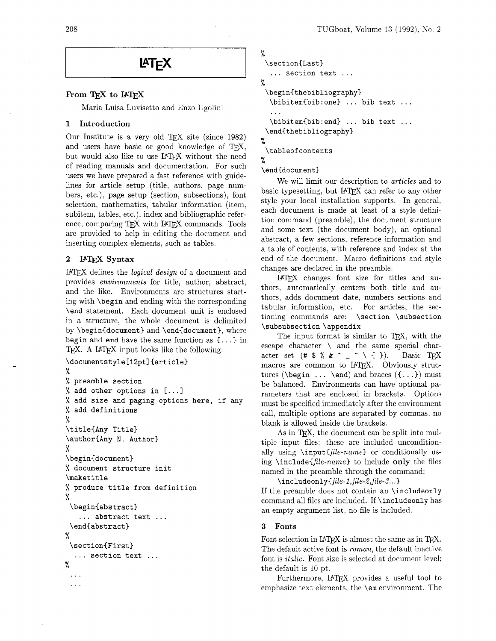208

# LAT<sub>F</sub>X

# From TFX to IATFX

Maria Luisa Luvisetto and Enzo Ugolini

### 1 Introduction

Our Institute is a very old TFX site (since  $1982$ ) and users have basic or good knowledge of  $T\not\!\! pX$ , but would also like to use IATFX without the need of reading manuals and documentation. For such users we have prepared a fast reference with guidelines for article setup (title, authors, page numbers, etc.), page setup (section, subsections), font selection, mathematics, tabular information (item, subitem, tables, etc.), index and bibliographic reference, comparing TFX with IATFX commands. Tools are provided to help in editing the document and inserting complex elements, such as tables.

# 2 IAT<sub>F</sub>X Syntax

I<sup>AT</sup>EX defines the *logical design* of a document and provides **environments** for title, author, abstract, and the like. Environments are structures starting with **\begin** and ending with the corresponding **\end** statement. Each document unit is enclosed in a structure, the whole document is delimited by **\begin{document)** and **\endidocument),** where **begin** and **end** have the same function as {. . .) in T<sub>F</sub>X. A I<sup>4</sup>T<sub>F</sub>X input looks like the following:

```
\documentstyle [12pt] {article) 
% 
% preamble section 
% add other options in [. . .] 
% add size and paging options here, if any 
% add definitions 
% 
\title(Any Title) 
\authoriAny N. Author) 
% 
\begin{document) 
% document structure init 
\maketitle 
% produce title from definition 
% 
 \begin{abstract}
   . . . abstract text . . . 
 \endCabstract) 
% 
 \section(First) 
  ... section text ... 
% 
 \ddotsc\ddotsc
```

```
% 
 \sect ion(Last) 
  . . . section text . . . 
% 
 \begin{thebibliography) 
  \bibitem(bib:one) ... bib text ... 
  . . . 
  \bibitem(bib:end) ... bib text ... 
 \end(thebibliography) 
% 
 \tableofcontents 
%
```
**\end{document)** 

We will limit our description to **articles** and to basic typesetting, but IATFX can refer to any other style your local installation supports. In general. each document is made at least of a style definition command (preamble), the document structure and some text (the document body), an optional abstract, a few sections, reference information and a table of contents, with reference and index at the end of the document. Macro definitions and style changes are declared in the preamble.

IATFX changes font size for titles and authors, automatically centers both title and authors, adds document date, numbers sections and tabular information, etc. For articles, the sectioning commands are: **\section \subsection \subsubsection \appendix** 

The input format is similar to TFX, with the escape character \ and the same special character set  $(*\; $*,\; \& \; \tilde{ } \; \cdots \; ] \; \wedge \; {\mathfrak{t}}$  }). Basic TEX macros are common to IATEX. Obviously structures **(\begin** . . . **\end)** and braces **(C.** . .)) must be balanced. Environments can have optional parameters that are enclosed in brackets. Options must be specified immediately after the environment call, multiple options are separated by commas, no blank is allowed inside the brackets.

As in TEX, the document can be split into multiple input files: these are included unconditionally using **\input{file-name)** or conditionally **us**ing  $\in$  linclude  $file$ -name to include only the files named in the preamble through the command:

\includeonly{file-1,file-2,file-3...}

If the preamble does not contain an **\includeonly**  command all files are included. If **\includeonly** has an empty argument list, no file is included.

### **3** Fonts

Font selection in  $IATEX$  is almost the same as in TEX. The default active font is **roman,** the default inactive font is *italic*. Font size is selected at document level; the default is 10 pt.

Furthermore, IATEX provides a useful tool to emphasize text elements, the **\em** environment. The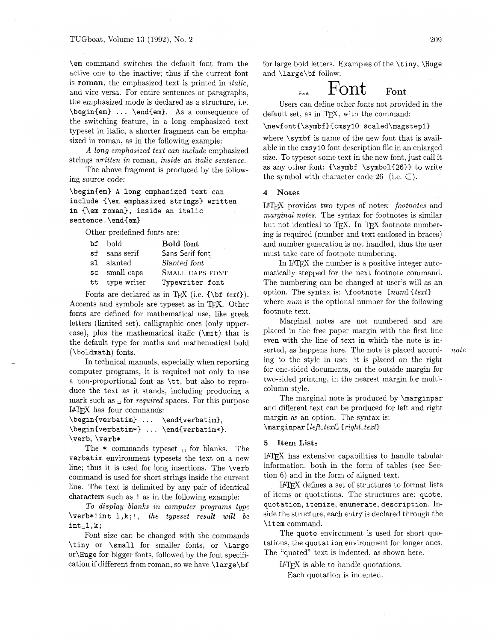active one to the inactive; thus if the current font and  $\langle \text{large}\rangle$  of follow: is roman, the emphasized text is printed in italic, and vice versa. For entire sentences or paragraphs,<br>the emphasized mode is declared as a structure, i.e.  $\text{H}$  is a structure is a structure, i.e. **Font**  $\text{H}$  is a structure i.e.  $\begin{bmatrix} \begin{array}{c} \Delta \end{array} & \Delta \end{bmatrix}$ . . .  $\begin{bmatrix} \begin{array}{c} \Delta \end{array} & \begin{array}{c} \Delta \end{array} & \begin{array}{c} \Delta \end{array} & \begin{array}{c} \Delta \end{array} & \begin{array}{c} \Delta \end{array} & \begin{array}{c} \Delta \end{array} & \begin{array}{c} \Delta \end{array} & \begin{array}{c} \Delta \end{array} & \begin{array}{c} \Delta \end{array} & \begin{array}{c} \Delta \end{array} & \begin{array}{c} \Delta \end{array} & \begin{array}{c} \Delta \end{$ the switching feature, in a long emphasized text  $\newcommand{\max_1}{\max_1}$  \newfont{\symbf}{cmsy1O scaled\magstep1} typeset in italic, a shorter fragment can be emphasized in roman, as in the following example: where  $\symbf$  is name of the new font that is avail-

The above fragment is produced by the following source code:  $\qquad \qquad$  the symbol with character code 26 (i.e.  $\subset$ ).

\begin{em) **A** long emphasized text can include (\em emphasized strings) written in {\em roman), inside an italic sentence.\end(em)

Other predefined fonts are:

| bf bold        | <b>Bold</b> font |  |
|----------------|------------------|--|
| sf sans serif  | Sans Serif font  |  |
| s1 slanted     | Slanted font     |  |
| sc small caps  | SMALL CAPS FONT  |  |
| tt type writer | Typewriter font  |  |

Fonts are declared as in T<sub>E</sub>X (i.e.  $\{\b{t \text{ } t \text{ } t}$ ). Accents and symbols are typeset as in TEX. Other fonts are defined for mathematical use, like greek letters (limited set), calligraphic ones (only uppercase), plus the mathematical italic (\mi t) that is the default type for maths and mathematical bold (\boldmath) fonts.

In technical manuals, especially when reporting computer programs. it is required not only to use a non-proportional font as \tt, but also to reproduce the text as it stands, including producing a mark such as  $\Box$  for *required* spaces. For this purpose I<sup>AT</sup>EX has four commands:

```
\begin{verbat im) . . . \end{verbatim), 
\begin{center} \begin{verbatim*} ... \end{verbatim*},
\verb, \verb*
```
The  $*$  commands typeset  $\Box$  for blanks. The verbatim environment typesets the text on a new line; thus it is used for long insertions. The \verb command is used for short strings inside the current line. The text is delimited by any pair of identical characters such as ! as in the following example:

To display blanks in computer programs type \verb\*! int 1,k; !, the typeset result will be  $int_{\cup}l,k;$ 

Font size can be changed with the commands \tiny or \small for smaller fonts, or \Large or\Huge for bigger fonts, followed by the font specification if different from roman, so we have  $\langle \text{large} \rangle$ 

\em command switches the default font from the for large bold letters. Examples of the \tiny, \Huge

Users can define other fonts not provided in the

*A* long emphasized text can include emphasized able in the cmsy10 font description file in an enlarged  $\frac{1}{2}$  as *suritten* in roman inside an *italia* centence size. To typeset some text in the new font, just call it strings written in roman, inside an italic sentence. Size. To typeset some text in the new font, just call it<br>The above frament is produced by the follow as any other font: {\symbot \symbol{26}} to write

#### 4 Notes

IATEX provides two types of notes: footnotes and marginal notes. The syntax for footnotes is similar but not identical to TFX. In TFX footnote numbering is required (number and text enclosed in braces) and number generation is not handled, thus the user must take care of footnote numbering.

In IATEX the number is a positive integer automatically stepped for the next footnote command. The numbering can be changed at user's will as an option. The syntax is:  $\footnotesize \setminus$  footnote [num] {text} where *num* is the optional number for the following footnote text.

Marginal notes are not numbered and are placed in the free paper margin with the first line even with the line of text in which the note is inserted, as happens here. The note is placed accord- note ing to the style in use: it is placed on the right for one-sided documents, on the outside margin for two-sided printing, in the nearest margin for multicolumn style.

The marginal note is produced by **\marginpar** and different text can be produced for left and right margin as an option. The syntax is: \marginpar [left\_text] {right\_text}

#### 5 Item Lists

has extensive capabilities to handle tabular information, both in the form of tables (see Section 6) and in the form of aligned text.

IPW defines a set of structures to format lists of items or quotations. The structures are: quote, quotation, itemize, enumerate, description. Inside the structure, each entry is declared through the \item command.

The quote environment is used for short quotations, the quotation environment for longer ones. The "quoted" text is indented, as shown here.

 $IATFX$  is able to handle quotations.

Each quotation is indented.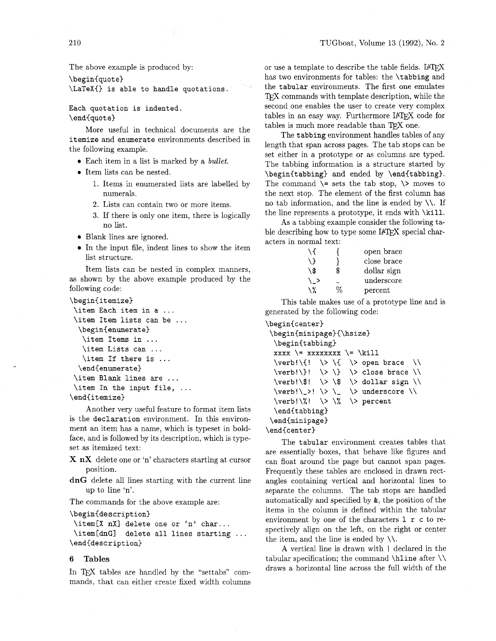The above example is produced by:

 $\begin{cases}$ 

\LaTeX{} is able to handle quotations.

Each quotation is indented. \end{quot e)

More useful in technical documents are the itemize and enumerate environments described in the following example.

- Each item in a list is marked by a *bullet*.
- **•** Item lists can be nested.
	- 1. Items in enumerated lists are labelled by numerals.
	- 2. Lists can contain two or more items.
	- **3.** If there is only one item, there is logically no list.
- Blank lines are ignored.
- In the input file, indent lines to show the item list structure.

Item lists can be nested in complex manners, as shown by the above example produced by the following code:

```
\begin{itemize)
```

```
\item Each item in a ... 
\item Item lists can be ... 
  \begin{enumerate) 
   \item Items in ... 
   \item Lists can ... 
   \item If there is ...
  \end{enumerate}
\item Blank lines are ... 
\item In the input file, ...
\end{itemize)
```
Another very useful feature to format item lists is the declaration environment. In this environment an item has a name, which is typeset in boldface, and is followed by its description, which is typeset as itemized text:

X **nX** delete one or 'n' characters starting at cursor position.

**dnG** delete all lines starting with the current line up to line 'n'.

The commands for the above example are:

\begin{description)

```
\item[X nX1 delete one or 'n' char.. . 
\left\{\dim\right\} delete all lines starting ...
\end{description}
```
#### **6 Tables**

In TFX tables are handled by the "settabs" commands, that can either create fixed width columns

or use a template to describe the table fields. IATEX has two environments for tables: the \tabbing and the tabular environments. The first one emulates TFX commands with template description, while the second one enables the user to create very complex tables in an easy way. Furthermore IATEX code for tables is much more readable than TEX one.

The tabbing environment handles tables of any length that span across pages. The tab stops can be set either in a prototype or as columns are typed. The tabbing information is a structure started by \begin{tabbing} and ended by \end{tabbing}. The command  $\geq$  sets the tab stop,  $\geq$  moves to the next stop. The element of the first column has no tab information, and the line is ended by  $\setminus\setminus$ . If the line represents a prototype, it ends with \kill.

As a tabbing example consider the following table describing how to type some IATEX special characters in normal text:

| Лſ  | open brace        |
|-----|-------------------|
| \ } | close brace       |
| \\$ | \$<br>dollar sign |
|     | underscore        |
| \ % | percent           |

This table makes use of a prototype line and is generated by the following code:

```
\begin{center) 
 \begin{minipage){\hsize) 
  \begin{tabbing) 
  xxxx \= xxxxxxxx \= \kill 
  \verb|\verb!\\{! | \> \{f | \> open \;brace}\verb|\verb|\verb!\\}| \> \> \} \> close brace \\
  \verb|verb!\\: \> \$ \> dollar sign \\
  \verb|verb!|_>! \> \_ \> underscore \\
  \verb|\verb!\\%| \> \% \> percent
  \end{tabbing) 
 \end{minipage) 
\end{center}
```
The tabular environment creates tables that are essentially boxes, that behave like figures and can float around the page but cannot span pages. Frequently these tables are enclosed in drawn rectangles containing vertical and horizontal lines to separate the columns. The tab stops are handled automatically and specified by *8,* the position of the items in the column is defined within the tabular environment by one of the characters  $1 r c$  to respectively align on the left. on the right or center the item, and the line is ended by  $\setminus \setminus$ .

A vertical line is drawn with I declared in the tabular specification; the command  $\hbar$ ine after  $\hbar$ draws a horizontal line across the full width of the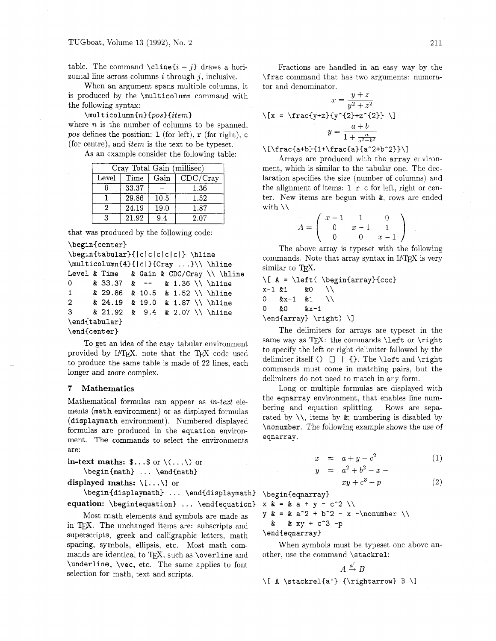table. The command **\cline** $\{i - j\}$  draws a horizontal line across columns **i** through *j,* inclusive.

When an argument spans multiple columns, it is produced by the **\multicolumn** command with the following syntax:

 $\mathcal{L}$ multicolumn $\{n\}$  $\{pos\}$ where  $n$  is the number of columns to be spanned, **pos** defines the position: **1** (for left), **r** (for right), **c**  (for centre), and **item** is the text to be typeset.

As an example consider the following table:

| $\overline{\text{Cray}}$ Total Gain (millisec) |       |      |          |  |  |
|------------------------------------------------|-------|------|----------|--|--|
| Level                                          | Time  | Gain | CDC/Cray |  |  |
|                                                | 33.37 |      | 1.36     |  |  |
|                                                | 29.86 | 10.5 | 1.52     |  |  |
|                                                | 24.19 | 19.0 | 1.87     |  |  |
| З                                              | 21.92 | 94   | 2.07     |  |  |

that was produced by the following code:

```
\begin{center}
```

```
\begin{tabular}{|c|c|c|c|c|} \hline
\multicolumn{4}{|c|}{Cray ...}\\ \hline
Level & Time & Gain & CDC/Cray \\ \hline 
0& 33.37 & -- & 1.36 \\ \hline 
1& 29.86 & 10.5 & 1.52 \\ \hline 
     2& 24.19 & 19.0 & 1.87 \\ \hline 
3& 21.92 & 9.4 & 2.07 \\ \hline 
\end(t abular} 
\end(cent er)
```
TO get an idea of the easy tabular environment provided by IATFX, note that the TFX code used to produce the same table is made of 22 lines, each longer and more complex.

#### **7 Mathematics**

Mathematical formulas can appear as **in-text** elements **(math** environment) or as displayed formulas **(displaymath** environment). Numbered displayed formulas are produced in the **equation** environment. The commands to select the environments are:

**in-text maths:**  $\mathbf{\$} \dots \mathbf{\$}$  or  $\setminus (\dots \setminus)$  or \begin{math} ... \end{math}

**displayed maths:**  $\langle \ldots \rangle$  or

**\begin(displaymath)** ... **\endidisplaymath) equation:** *\begin{equation}* ... *\end{equation}* 

Most math elements and symbols are made as in TEX. The unchanged items are: subscripts and superscripts, greek and calligraphic letters, math spacing, symbols, ellipsis, etc. Most math commands are identical to T<sub>F</sub>X, such as **\overline** and **\underline, \vec,** etc. The same applies to font selection for math, text and scripts.

Fractions are handled in an easy way by the **\frac** command that has two arguments: numerator and denominator.

$$
x = \frac{y+z}{y^2+z^2}
$$

$$
\sqrt{x} = \frac{\frac{y+z}{2}}{y^2+z^2}
$$

$$
y = \frac{a+b}{1+\frac{a}{a^2+b^2}}
$$

#### $\[\int_{\frac{a+b}{1+\frac{ra}{a}}\frac{a^2+b^2}})$

Arrays are produced with the **array** environment, which is similar to the tabular one. The declaration specifies the size (number of columns) and the alignment of items: **1 r c** for left, right or center. New items are begun with &, rows are ended with  $\lambda$ 

$$
A = \left(\begin{array}{rrr} x-1 & 1 & 0 \\ 0 & x-1 & 1 \\ 0 & 0 & x-1 \end{array}\right)
$$

The above array is typeset with the following commands. Note that array syntax in IATFX is very similar to TEX.

 $\[\Lambda = \left( \begin{array}{c} \begin{array}{c} \end{array} \]$  $x-1$  &1 &O  $\setminus$ 0  $kx-1$  $\&1$ \\ 0 &O  $kx-1$ \end{array} \right) \]

The delimiters for arrays are typeset in the same way as  $TrX$ : the commands **\left** or **\right** to specify the left or right delimiter followed by the delimiter itself 0 [I I {). The **\left** and **\right**  commands must come in matching pairs, but the delimiters do not need to match in any form.

Long or multiple formulas are displayed with the **eqnarray** environment, that enables line numbering and equation splitting. Rows are separated by  $\setminus\setminus$ , items by  $\&$ ; numbering is disabled by **\nonumber.** The following example shows the use of **eqnarray.** 

$$
= a + y - c^2 \tag{1}
$$

$$
a^2+b^2-x-
$$

$$
+ c^3 - p \tag{2}
$$

\begin{eqnarray}  $x \& = \& a + y - c^2 \ \leq$ 

 $\mathcal{T}$  $\boldsymbol{y}$ 

y  $\&=$  & a<sup>2</sup> + b<sup>2</sup> - x -\nonumber \\ &  $xy + c^3 - p$  $\boldsymbol{\alpha}$ \end{eqnarray}

 $xy$ 

When symbols must be typeset one above another, use the command **\stackrel:** 

$$
A \xrightarrow{a'} B
$$
\n
$$
\{ \alpha \} \{ \rightarrow B \}
$$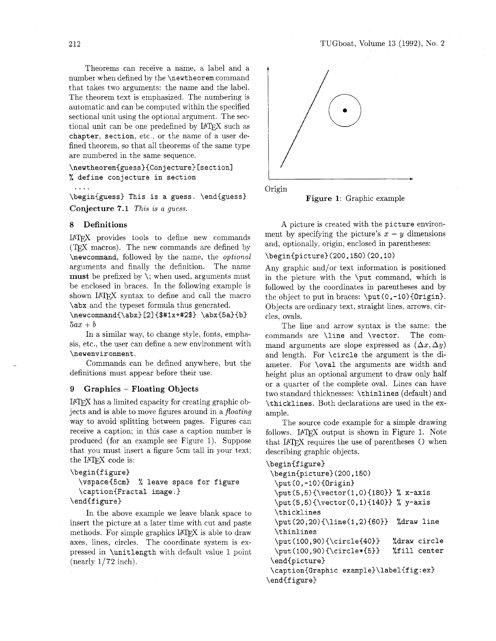Theorems can receive a name, a label and a number when defined by the **\newtheorem** command that takes two arguments: the name and the label. The theorem text is emphasized. The numbering is automatic and can be computed within the specified sectional unit using the optional argument. The sectional unit can be one predefined by IATFX such as **chapter, section,** etc., or the name of a user defined theorem, so that all theorems of the same type are numbered in the same sequence.

\newtheorem{guess}{Conjecture} [section] % **define conjecture in section**  ....

**\beghiguess) This is a guess. \endiguess)**  Conjecture **7.1** This is *a guess.* 

#### 8 Definitions

I<sup>A</sup>TEX provides tools to define new commands (TEX macros). The new commands are defined by **\newcommand.** followed by the name, the *optional*  arguments and finally the definition. The name must be prefixed by  $\backslash$ ; when used, arguments must be enclosed in braces. In the following example is shown **I4TEX** syntax to define and call the macro **\abx** and the typeset formula thus generated.

\newcommand{\abx}[2]{\$#1x+#2\$} \abx{5a}{b}  $5ax + b$ 

In a similar way, to change style, fonts, emphasis. etc., the user can define a new environment with **\newenvironment.** 

Commands can be defined anywhere, but the definitions must appear before their use.

#### 9 Graphics - Floating Objects

I<sup>4</sup>T<sub>F</sub>X has a limited capacity for creating graphic objects and is able to move figures around in a *floating*  way to avoid splitting between pages. Figures can receive a caption; in this case a caption number is produced (for an example see Figure 1). Suppose that you must insert a figure 5cm tall in your text;<br>the IAT<sub>E</sub>X code is:

```
\beginif igure)
```

```
\vspaceC5cm) % leave space for figure 
\caption{Fractal image. )
```
**\endCfigure}** 

In the above example we leave blank space to insert the picture at a later time with cut and paste methods. For simple graphics IATFX is able to draw axes, lines, circles. The coordinate system is expressed in **\unitlength** with default value 1 point (nearly 1/72 inch).



Figure 1: Graphic example

A picture is created with the **picture** environment by specifying the picture's  $x - y$  dimensions and, optionally, origin, enclosed in parentheses:

**\begin{picture~(200,150)(20,10)** 

Any graphic and/or text information is positioned in the picture with the **\put** command. which is followed by the coordinates in parentheses and by the object to put in braces: **\put (0, -10) {Origin).**  Objects are ordinary text, straight lines, arrows, circles, ovals.

The line and arrow syntax is the same; the commands are **\line** and **\vector.** The command arguments are slope expressed as  $(\Delta x, \Delta y)$ and length. For **\circle** the argument is the diameter. For **\oval** the arguments are width and height plus an optional argument to draw only half or a quarter of the complete oval. Lines can have two standard thicknesses: **\thinlines** (default) and **\thicklines.** Both declarations are used in the example.

The source code example for a simple drawing follows. **IATEX** output is shown in Figure 1. Note that **IATEX** requires the use of parentheses () when describing graphic objects.

```
\beginif igure) 
\begin(picture)(200,150) 
 \put (0, -10) {Origin) 
 \put(5,5){\vector(1,0){180}} % x-axis
 \put(5,5){\vector(0,1){140}} % y-axis
 \thicklines 
 \put(20,20){\line(1,2){60)} %draw line 
 \thinlines 
 \put (lOO,9O) {\circle{40)) %draw circle 
 \put(lOO,90)(\circle*{5)} %fill center 
 \endipicture) 
\captionCGraphic example)\labelifig:ex> 
\endif igure}
```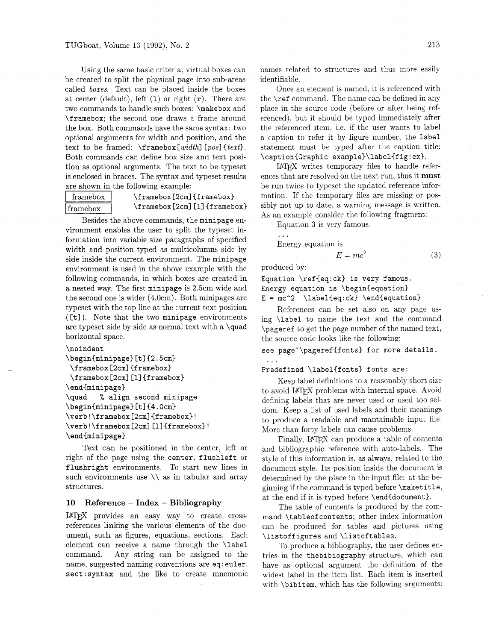Using the same basic criteria, virtual boxes can be created to split the physical page into sub-areas called boxes. Text can be placed inside the boxes at center (default), left  $(1)$  or right  $(r)$ . There are two commands to handle such boxes: \makebox and \framebox; the second one draws a frame around the box. Both commands have the same syntax: two optional arguments for width and position, and the text to be framed:  $\frac{\text{width}}{\text{pos}}\text{t.}$ Both commands can define box size and text position as optional arguments. The text to be typeset is enclosed in braces. The syntax and typeset results are shown in the following example:

 $framebox \$   $\{framebox\}$ framebox (2cm] [1] {framebox}

Besides the above commands, the minipage environment enables the user to split the typeset information into variable size paragraphs of specified width and position typed as multicolumns side by side inside the current environment. The minipage environment is used in the above example with the following commands, in which boxes are created in a nested way. The first minipage is 2.5cm wide and the second one is wider (4.0cm). Both minipages are typeset with the top line at the current text position  $([t])$ . Note that the two minipage environments are typeset side by side as normal text with a \quad horizontal space.

#### \noindent

```
\begin{minipage}[t]{0.2.5cm} \tag{2.5cm} \end{minipage}\f ramebox [2cm] {f ramebox) 
 \framebox [2cm] [1] {framebox}
\end{minipage) 
\quad % align second minipage 
\begin{subarray}{c} \text{begin} \text{int} \end{subarray}\verb|\verb|\verb!\\framebox[2cm]{framebox!}!\verb ! \f ramebox [2cm] [I] {f ramebox) ! 
\end{minipage)
```
Text can be positioned in the center, left or right of the page using the center, flushleft or flushright environments. To start new lines in such environments use  $\setminus$  as in tabular and array structures.

#### **<sup>10</sup>Reference** - **Index** - **Bibliography**

IATFX provides an easy way to create crossreferences linking the various elements of the document, such as figures, equations, sections. Each element can receive a name through the \label command. Any string can be assigned to the name, suggested naming conventions are eq: euler, sect : syntax and the like to create mnemonic names related to structures and thus more easily identifiable.

Once an element is named, it is referenced with the \ref command. The name can be defined in any place in the source code (before or after being referenced), but it should be typed immediately after the referenced item, i.e. if the user wants to label a caption to refer it by figure number. the label statement must be typed after the caption title: \caption{Graphic example)\label{fig:ex).

IFIEX writes temporary files to handle references that are resolved on the next run, thus it must be run twice to typeset the updated reference information. If the temporary files are missing or possibly not up to date, a warning message is written. As an example consider the following fragment:

Equation **3** is very famous.

...

Energy equation is

 $E = mc^2$  $(3)$ 

produced by:

 $\ldots$ 

Equation \ref{eq:ck) is very famous. Energy equation is \begin{equation)  $E = mc^2 \ \label{eq:1}$  Label{eq:ck} \end{equation}

References can be set also on any page using \label to name the text and the command \pageref to get the page number of the named text. the source code looks like the following:

see page"\pageref{fonts) for more details.

Predefined \label{fonts) fonts are:

Keep label definitions to a reasonably short size to avoid IATEX problems with internal space. Avoid defining labels that are never used or used too seldom. Keep a list of used labels and their meanings to produce a readable and mantainable input file. More than forty labels can cause problems.

Finally, IAT<sub>F</sub>X can produce a table of contents and bibliographic reference with auto-labels. The style of this information is, as always, related to the document style. Its position inside the document is determined by the place in the input file: at the beginning if the command is typed before \maketitle, at the end if it is typed before \end{document).

The table of contents is produced by the command \tableof cont ents; other index information can be produced for tables and pictures using \listoffigures and \listoftables.

To produce a bibliography, the user defines entries in the thebibiography structure, which can have as optional argument the definition of the widest label in the item list. Each item is inserted with \bibit em, which has the following arguments: